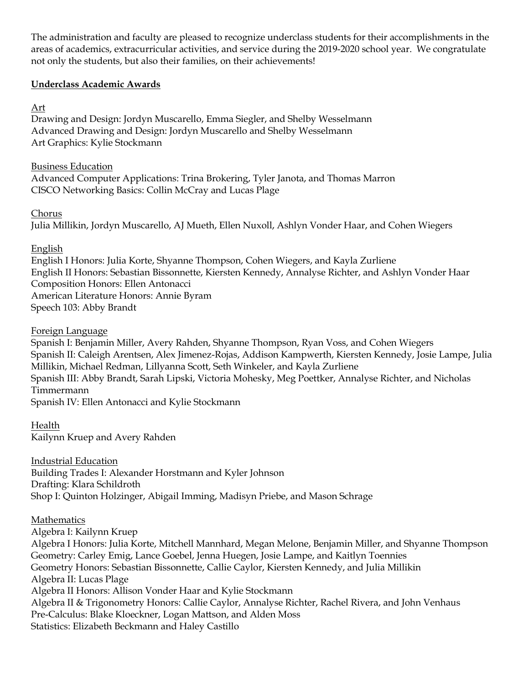The administration and faculty are pleased to recognize underclass students for their accomplishments in the areas of academics, extracurricular activities, and service during the 2019-2020 school year. We congratulate not only the students, but also their families, on their achievements!

## **Underclass Academic Awards**

## Art

Drawing and Design: Jordyn Muscarello, Emma Siegler, and Shelby Wesselmann Advanced Drawing and Design: Jordyn Muscarello and Shelby Wesselmann Art Graphics: Kylie Stockmann

## Business Education

Advanced Computer Applications: Trina Brokering, Tyler Janota, and Thomas Marron CISCO Networking Basics: Collin McCray and Lucas Plage

## Chorus

Julia Millikin, Jordyn Muscarello, AJ Mueth, Ellen Nuxoll, Ashlyn Vonder Haar, and Cohen Wiegers

# English

English I Honors: Julia Korte, Shyanne Thompson, Cohen Wiegers, and Kayla Zurliene English II Honors: Sebastian Bissonnette, Kiersten Kennedy, Annalyse Richter, and Ashlyn Vonder Haar Composition Honors: Ellen Antonacci American Literature Honors: Annie Byram Speech 103: Abby Brandt

Foreign Language

Spanish I: Benjamin Miller, Avery Rahden, Shyanne Thompson, Ryan Voss, and Cohen Wiegers Spanish II: Caleigh Arentsen, Alex Jimenez-Rojas, Addison Kampwerth, Kiersten Kennedy, Josie Lampe, Julia Millikin, Michael Redman, Lillyanna Scott, Seth Winkeler, and Kayla Zurliene Spanish III: Abby Brandt, Sarah Lipski, Victoria Mohesky, Meg Poettker, Annalyse Richter, and Nicholas Timmermann Spanish IV: Ellen Antonacci and Kylie Stockmann

Health Kailynn Kruep and Avery Rahden

Industrial Education Building Trades I: Alexander Horstmann and Kyler Johnson Drafting: Klara Schildroth Shop I: Quinton Holzinger, Abigail Imming, Madisyn Priebe, and Mason Schrage

# Mathematics

Algebra I: Kailynn Kruep Algebra I Honors: Julia Korte, Mitchell Mannhard, Megan Melone, Benjamin Miller, and Shyanne Thompson Geometry: Carley Emig, Lance Goebel, Jenna Huegen, Josie Lampe, and Kaitlyn Toennies Geometry Honors: Sebastian Bissonnette, Callie Caylor, Kiersten Kennedy, and Julia Millikin Algebra II: Lucas Plage Algebra II Honors: Allison Vonder Haar and Kylie Stockmann Algebra II & Trigonometry Honors: Callie Caylor, Annalyse Richter, Rachel Rivera, and John Venhaus Pre-Calculus: Blake Kloeckner, Logan Mattson, and Alden Moss Statistics: Elizabeth Beckmann and Haley Castillo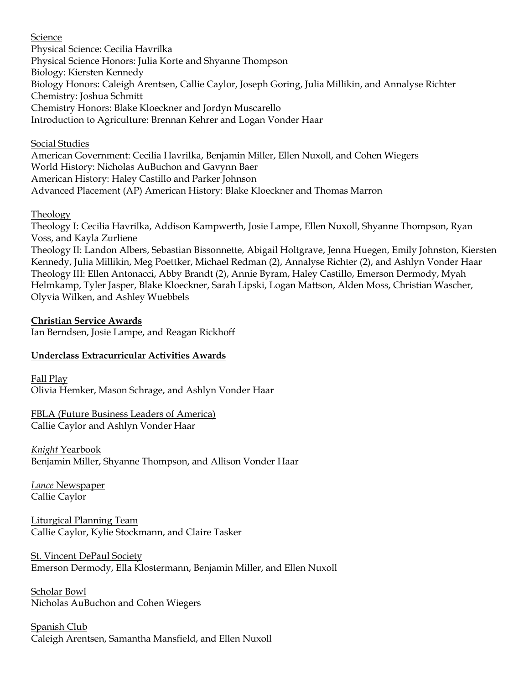#### **Science**

Physical Science: Cecilia Havrilka Physical Science Honors: Julia Korte and Shyanne Thompson Biology: Kiersten Kennedy Biology Honors: Caleigh Arentsen, Callie Caylor, Joseph Goring, Julia Millikin, and Annalyse Richter Chemistry: Joshua Schmitt Chemistry Honors: Blake Kloeckner and Jordyn Muscarello Introduction to Agriculture: Brennan Kehrer and Logan Vonder Haar

#### Social Studies

American Government: Cecilia Havrilka, Benjamin Miller, Ellen Nuxoll, and Cohen Wiegers World History: Nicholas AuBuchon and Gavynn Baer American History: Haley Castillo and Parker Johnson Advanced Placement (AP) American History: Blake Kloeckner and Thomas Marron

#### Theology

Theology I: Cecilia Havrilka, Addison Kampwerth, Josie Lampe, Ellen Nuxoll, Shyanne Thompson, Ryan Voss, and Kayla Zurliene Theology II: Landon Albers, Sebastian Bissonnette, Abigail Holtgrave, Jenna Huegen, Emily Johnston, Kiersten

Kennedy, Julia Millikin, Meg Poettker, Michael Redman (2), Annalyse Richter (2), and Ashlyn Vonder Haar Theology III: Ellen Antonacci, Abby Brandt (2), Annie Byram, Haley Castillo, Emerson Dermody, Myah Helmkamp, Tyler Jasper, Blake Kloeckner, Sarah Lipski, Logan Mattson, Alden Moss, Christian Wascher, Olyvia Wilken, and Ashley Wuebbels

#### **Christian Service Awards**

Ian Berndsen, Josie Lampe, and Reagan Rickhoff

### **Underclass Extracurricular Activities Awards**

Fall Play Olivia Hemker, Mason Schrage, and Ashlyn Vonder Haar

FBLA (Future Business Leaders of America) Callie Caylor and Ashlyn Vonder Haar

*Knight* Yearbook Benjamin Miller, Shyanne Thompson, and Allison Vonder Haar

*Lance* Newspaper Callie Caylor

Liturgical Planning Team Callie Caylor, Kylie Stockmann, and Claire Tasker

St. Vincent DePaul Society Emerson Dermody, Ella Klostermann, Benjamin Miller, and Ellen Nuxoll

Scholar Bowl Nicholas AuBuchon and Cohen Wiegers

Spanish Club Caleigh Arentsen, Samantha Mansfield, and Ellen Nuxoll